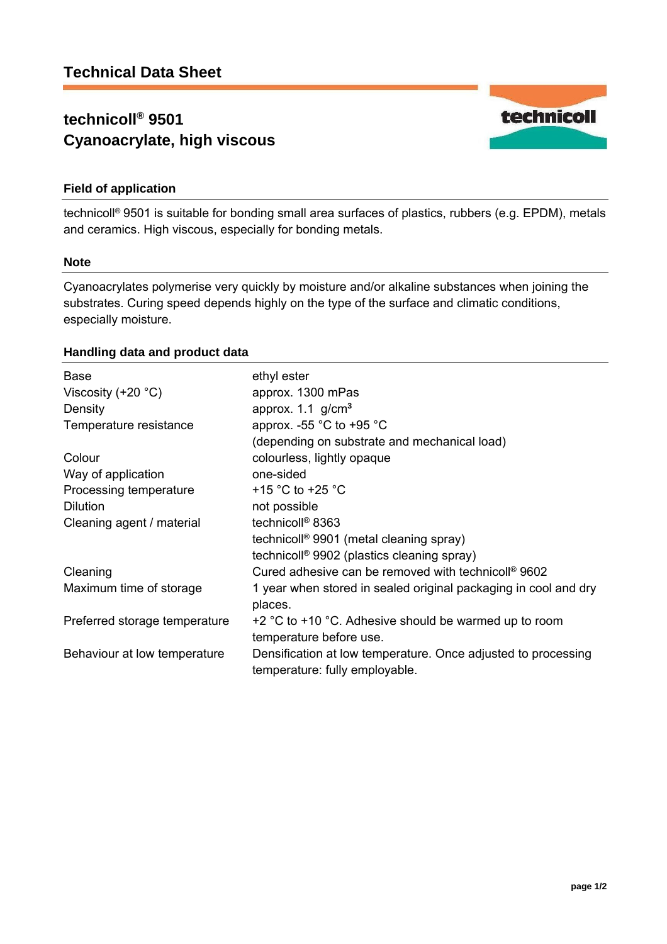# **technicoll® 9501 Cyanoacrylate, high viscous**



# **Field of application**

technicoll® 9501 is suitable for bonding small area surfaces of plastics, rubbers (e.g. EPDM), metals and ceramics. High viscous, especially for bonding metals.

#### **Note**

Cyanoacrylates polymerise very quickly by moisture and/or alkaline substances when joining the substrates. Curing speed depends highly on the type of the surface and climatic conditions, especially moisture.

### **Handling data and product data**

| <b>Base</b><br>Viscosity $(+20 °C)$<br>Density | ethyl ester<br>approx. 1300 mPas<br>approx. $1.1$ g/cm <sup>3</sup>                             |
|------------------------------------------------|-------------------------------------------------------------------------------------------------|
| Temperature resistance                         | approx. -55 $^{\circ}$ C to +95 $^{\circ}$ C<br>(depending on substrate and mechanical load)    |
| Colour                                         | colourless, lightly opaque                                                                      |
| Way of application                             | one-sided                                                                                       |
| Processing temperature                         | +15 °C to +25 °C                                                                                |
| <b>Dilution</b>                                | not possible                                                                                    |
| Cleaning agent / material                      | technicoll <sup>®</sup> 8363                                                                    |
|                                                | technicoll <sup>®</sup> 9901 (metal cleaning spray)                                             |
|                                                | technicoll <sup>®</sup> 9902 (plastics cleaning spray)                                          |
| Cleaning                                       | Cured adhesive can be removed with technicoll <sup>®</sup> 9602                                 |
| Maximum time of storage                        | 1 year when stored in sealed original packaging in cool and dry<br>places.                      |
| Preferred storage temperature                  | $+2$ °C to $+10$ °C. Adhesive should be warmed up to room<br>temperature before use.            |
| Behaviour at low temperature                   | Densification at low temperature. Once adjusted to processing<br>temperature: fully employable. |